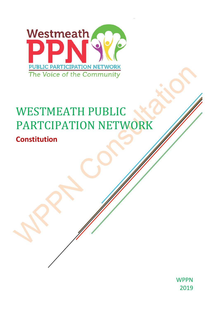

# WESTMEATH PUBLIC PARTCIPATION NETWORK

# **Constitution**

**WPPN** 2019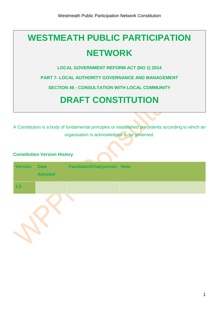# **WESTMEATH PUBLIC PARTICIPATION NETWORK**

**LOCAL GOVERNMENT REFORM ACT (NO 1) 2014**

**PART 7- LOCAL AUTHORITY GOVERNANCE AND MANAGEMENT**

**SECTION 46 - CONSULTATION WITH LOCAL COMMUNITY**

# **DRAFT CONSTITUTION**

A Constitution is a body of fundamental principles or established precedents according to which an organisation is acknowledged to be governed.

# **Constitution Version History**

| <b>Version</b> | <b>Date</b><br><b>Adopted</b> | <b>Facilitator/Chairperson Note</b> |  |
|----------------|-------------------------------|-------------------------------------|--|
| 1.0            |                               |                                     |  |
|                |                               |                                     |  |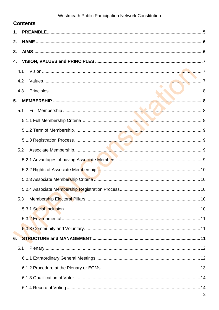|    |     | <b>Contents</b> |  |
|----|-----|-----------------|--|
| 1. |     |                 |  |
| 2. |     |                 |  |
| 3. |     |                 |  |
| 4. |     |                 |  |
|    | 4.1 |                 |  |
|    | 4.2 |                 |  |
|    | 4.3 |                 |  |
| 5. |     |                 |  |
|    | 5.1 |                 |  |
|    |     |                 |  |
|    |     |                 |  |
|    |     |                 |  |
|    | 5.2 |                 |  |
|    |     |                 |  |
|    |     |                 |  |
|    |     |                 |  |
|    |     |                 |  |
|    | 5.3 |                 |  |
|    |     |                 |  |
|    |     |                 |  |
|    |     |                 |  |
| 6. |     |                 |  |
|    | 6.1 |                 |  |
|    |     |                 |  |
|    |     |                 |  |
|    |     |                 |  |
|    |     |                 |  |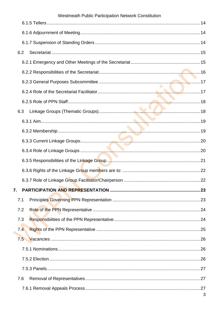| Westmeath Public Participation Network Constitution |  |
|-----------------------------------------------------|--|
|                                                     |  |
|                                                     |  |
|                                                     |  |
| 6.2                                                 |  |
|                                                     |  |
|                                                     |  |
|                                                     |  |
|                                                     |  |
|                                                     |  |
| 6.3                                                 |  |
|                                                     |  |
|                                                     |  |
|                                                     |  |
|                                                     |  |
|                                                     |  |
|                                                     |  |
|                                                     |  |
| 7.                                                  |  |
| 7.1                                                 |  |
| 7.2                                                 |  |
| 7.3                                                 |  |
| 7.4                                                 |  |
| 7.5                                                 |  |
|                                                     |  |
|                                                     |  |
|                                                     |  |
| 7.6                                                 |  |
|                                                     |  |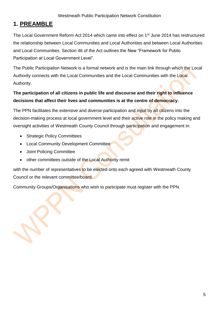# <span id="page-5-0"></span>**1. PREAMBLE**

The Local Government Reform Act 2014 which came into effect on 1<sup>st</sup> June 2014 has restructured the relationship between Local Communities and Local Authorities and between Local Authorities and Local Communities. Section 46 of the Act outlines the New "Framework for Public Participation at Local Government Level".

The Public Participation Network is a formal network and is the main link through which the Local Authority connects with the Local Communities and the Local Communities with the Local Authority.

# **The participation of all citizens in public life and discourse and their right to influence decisions that affect their lives and communities is at the centre of democracy.**

The PPN facilitates the extensive and diverse participation and input by all citizens into the decision-making process at local government level and their active role in the policy making and oversight activities of Westmeath County Council through participation and engagement in:

- Strategic Policy Committees
- Local Community Development Committee
- Joint Policing Committee
- other committees outside of the Local Authority remit

with the number of representatives to be elected onto each agreed with Westmeath County Council or the relevant committee/board.

Community Groups/Organisations who wish to participate must register with the PPN.

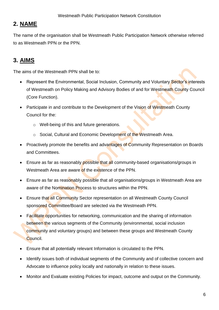# <span id="page-6-0"></span>**2. NAME**

The name of the organisation shall be Westmeath Public Participation Network otherwise referred to as Westmeath PPN or the PPN.

# <span id="page-6-1"></span>**3. AIMS**

The aims of the Westmeath PPN shall be to:

- Represent the Environmental, Social Inclusion, Community and Voluntary Sector's interests of Westmeath on Policy Making and Advisory Bodies of and for Westmeath County Council (Core Function).
- Participate in and contribute to the Development of the Vision of Westmeath County Council for the:
	- o Well-being of this and future generations.
	- o Social, Cultural and Economic Development of the Westmeath Area.
- Proactively promote the benefits and advantages of Community Representation on Boards and Committees.
- Ensure as far as reasonably possible that all community-based organisations/groups in Westmeath Area are aware of the existence of the PPN.
- Ensure as far as reasonably possible that all organisations/groups in Westmeath Area are aware of the Nomination Process to structures within the PPN.
- Ensure that all Community Sector representation on all Westmeath County Council sponsored Committee/Board are selected via the Westmeath PPN.
- Facilitate opportunities for networking, communication and the sharing of information between the various segments of the Community (environmental, social inclusion community and voluntary groups) and between these groups and Westmeath County Council.
- Ensure that all potentially relevant Information is circulated to the PPN.
- Identify issues both of individual segments of the Community and of collective concern and Advocate to influence policy locally and nationally in relation to these issues.
- Monitor and Evaluate existing Policies for impact, outcome and output on the Community.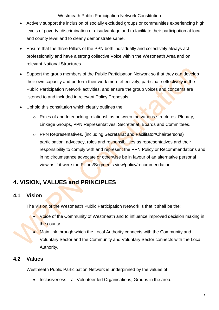- Actively support the inclusion of socially excluded groups or communities experiencing high levels of poverty, discrimination or disadvantage and to facilitate their participation at local and county level and to clearly demonstrate same.
- Ensure that the three Pillars of the PPN both individually and collectively always act professionally and have a strong collective Voice within the Westmeath Area and on relevant National Structures.
- Support the group members of the Public Participation Network so that they can develop their own capacity and perform their work more effectively, participate effectively in the Public Participation Network activities, and ensure the group voices and concerns are listened to and included in relevant Policy Proposals.
- Uphold this constitution which clearly outlines the:
	- $\circ$  Roles of and Interlocking relationships between the various structures: Plenary, Linkage Groups, PPN Representatives, Secretariat, Boards and Committees.
	- o PPN Representatives, (including Secretariat and Facilitator/Chairpersons) participation, advocacy, roles and responsibilities as representatives and their responsibility to comply with and represent the PPN Policy or Recommendations and in no circumstance advocate or otherwise be in favour of an alternative personal view as if it were the **Pillars/Segments** view/policy/recommendation.

# <span id="page-7-0"></span>**4. VISION, VALUES and PRINCIPLES**

# <span id="page-7-1"></span>**4.1 Vision**

The Vision of the Westmeath Public Participation Network is that it shall be the:

- Voice of the Community of Westmeath and to influence improved decision making in the county.
- Main link through which the Local Authority connects with the Community and Voluntary Sector and the Community and Voluntary Sector connects with the Local Authority.

# <span id="page-7-2"></span>**4.2 Values**

Westmeath Public Participation Network is underpinned by the values of:

• Inclusiveness – all Volunteer led Organisations; Groups in the area.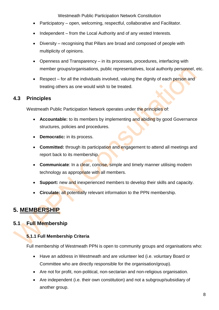- Participatory open, welcoming, respectful, collaborative and Facilitator.
- Independent from the Local Authority and of any vested Interests.
- Diversity recognising that Pillars are broad and composed of people with multiplicity of opinions.
- Openness and Transparency in its processes, procedures, interfacing with member groups/organisations, public representatives, local authority personnel, etc.
- Respect for all the individuals involved, valuing the dignity of each person and treating others as one would wish to be treated.

# <span id="page-8-0"></span>**4.3 Principles**

Westmeath Public Participation Network operates under the principles of:

- **Accountable:** to its members by implementing and abiding by good Governance structures, policies and procedures.
- **Democratic:** in its process.
- **Committed:** through its participation and engagement to attend all meetings and report back to its membership.
- **Communicate:** In a clear, concise, simple and timely manner utilising modern technology as appropriate with all members.
- **Support:** new and inexperienced members to develop their skills and capacity.
- **Circulate:** all potentially relevant information to the PPN membership.

# <span id="page-8-1"></span>**5. MEMBERSHIP**

# <span id="page-8-3"></span><span id="page-8-2"></span>**5.1 Full Membership**

# **5.1.1 Full Membership Criteria**

Full membership of Westmeath PPN is open to community groups and organisations who:

- Have an address in Westmeath and are volunteer led (i.e. voluntary Board or Committee who are directly responsible for the organisation/group).
- Are not for profit, non-political, non-sectarian and non-religious organisation.
- Are independent (i.e. their own constitution) and not a subgroup/subsidiary of another group.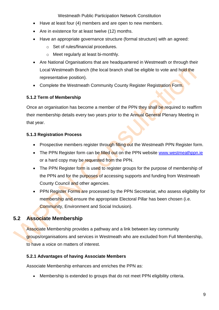- Have at least four (4) members and are open to new members.
- Are in existence for at least twelve (12) months.
- Have an appropriate governance structure (formal structure) with an agreed:
	- o Set of rules/financial procedures.
	- o Meet regularly at least bi-monthly.
- Are National Organisations that are headquartered in Westmeath or through their Local Westmeath Branch (the local branch shall be eligible to vote and hold the representative position).
- Complete the Westmeath Community County Register Registration Form.

# <span id="page-9-0"></span>**5.1.2 Term of Membership**

Once an organisation has become a member of the PPN they shall be required to reaffirm their membership details every two years prior to the Annual General Plenary Meeting in that year.

# <span id="page-9-1"></span>**5.1.3 Registration Process**

- Prospective members register through filling out the Westmeath PPN Register form.
- The PPN Register form can be filled out on the PPN website [www.westmeathppn.ie](http://www.westmeathppn.ie/) or a hard copy may be requested from the PPN.
- The PPN Register form is used to register groups for the purpose of membership of the PPN and for the purposes of accessing supports and funding from Westmeath County Council and other agencies.
- PPN Register Forms are processed by the PPN Secretariat, who assess eligibility for membership and ensure the appropriate Electoral Pillar has been chosen (i.e. Community, Environment and Social Inclusion).

# <span id="page-9-2"></span>**5.2 Associate Membership**

Associate Membership provides a pathway and a link between key community groups/organisations and services in Westmeath who are excluded from Full Membership, to have a voice on matters of interest.

# <span id="page-9-3"></span>**5.2.1 Advantages of having Associate Members**

Associate Membership enhances and enriches the PPN as:

• Membership is extended to groups that do not meet PPN eligibility criteria.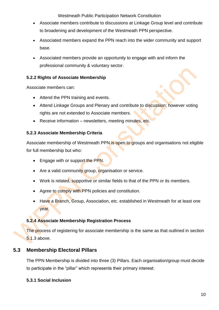- Associate members contribute to discussions at Linkage Group level and contribute to broadening and development of the Westmeath PPN perspective.
- Associated members expand the PPN reach into the wider community and support base.
- Associated members provide an opportunity to engage with and inform the professional community & voluntary sector.

#### <span id="page-10-0"></span>**5.2.2 Rights of Associate Membership**

Associate members can:

- Attend the PPN training and events.
- Attend Linkage Groups and Plenary and contribute to discussion; however voting rights are not extended to Associate members.
- Receive information newsletters, meeting minutes, etc.

#### <span id="page-10-1"></span>**5.2.3 Associate Membership Criteria**

Associate membership of Westmeath PPN is open to groups and organisations not eligible for full membership but who:

- Engage with or support the PPN.
- Are a valid community group, organisation or service.
- Work is related, supportive or similar fields to that of the PPN or its members.
- Agree to comply with PPN policies and constitution.
- Have a Branch, Group, Association, etc. established in Westmeath for at least one year.

#### <span id="page-10-2"></span>**5.2.4 Associate Membership Registration Process**

The process of registering for associate membership is the same as that outlined in section 5.1.3 above.

# <span id="page-10-3"></span>**5.3 Membership Electoral Pillars**

The PPN Membership is divided into three (3) Pillars. Each organisation/group must decide to participate in the "pillar" which represents their primary interest:

#### <span id="page-10-4"></span>**5.3.1 Social Inclusion**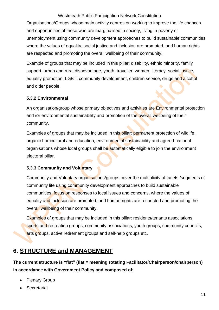Organisations/Groups whose main activity centres on working to improve the life chances and opportunities of those who are marginalised in society, living in poverty or unemployment using community development approaches to build sustainable communities where the values of equality, social justice and inclusion are promoted, and human rights are respected and promoting the overall wellbeing of their community.

Example of groups that may be included in this pillar: disability, ethnic minority, family support, urban and rural disadvantage, youth, traveller, women, literacy, social justice, equality promotion, LGBT, community development, children service, drugs and alcohol and older people.

#### <span id="page-11-0"></span>**5.3.2 Environmental**

An organisation/group whose primary objectives and activities are Environmental protection and /or environmental sustainability and promotion of the overall wellbeing of their community.

Examples of groups that may be included in this pillar: permanent protection of wildlife, organic horticultural and education, environmental sustainability and agreed national organisations whose local groups shall be automatically eligible to join the environment electoral pillar.

#### <span id="page-11-1"></span>**5.3.3 Community and Voluntary**

Community and Voluntary organisations/groups cover the multiplicity of facets /segments of community life using community development approaches to build sustainable communities, focus on responses to local issues and concerns, where the values of equality and inclusion are promoted, and human rights are respected and promoting the overall wellbeing of their community**.**

Examples of groups that may be included in this pillar: residents/tenants associations, sports and recreation groups, community associations, youth groups, community councils, arts groups, active retirement groups and self-help groups etc.

# <span id="page-11-2"></span>**6. STRUCTURE and MANAGEMENT**

**The current structure is "flat" (flat = meaning rotating Facilitator/Chairperson/chairperson) in accordance with Government Policy and composed of:**

- **Plenary Group**
- **Secretariat**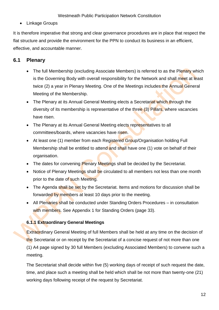• Linkage Groups

It is therefore imperative that strong and clear governance procedures are in place that respect the flat structure and provide the environment for the PPN to conduct its business in an efficient, effective, and accountable manner.

# <span id="page-12-0"></span>**6.1 Plenary**

- The full Membership (excluding Associate Members) is referred to as the Plenary which is the Governing Body with overall responsibility for the Network and shall meet at least twice (2) a year in Plenary Meeting. One of the Meetings includes the Annual General Meeting of the Membership.
- The Plenary at its Annual General Meeting elects a Secretariat which through the diversity of its membership is representative of the three (3) Pillars, where vacancies have risen.
- The Plenary at its Annual General Meeting elects representatives to all committees/boards, where vacancies have risen.
- At least one (1) member from each Registered Group/Organisation holding Full Membership shall be entitled to attend and shall have one (1) vote on behalf of their organisation.
- The dates for convening **Plenary Meetings shall be decided by the Secretariat.**
- Notice of Plenary Meetings shall be circulated to all members not less than one month prior to the date of such Meeting.
- The Agenda shall be set by the Secretariat. Items and motions for discussion shall be forwarded by members at least 10 days prior to the meeting.
- All Plenaries shall be conducted under Standing Orders Procedures in consultation with members. See Appendix 1 for Standing Orders (page 33).

# <span id="page-12-1"></span>**6.1.1 Extraordinary General Meetings**

Extraordinary General Meeting of full Members shall be held at any time on the decision of the Secretariat or on receipt by the Secretariat of a concise request of not more than one (1) A4 page signed by 30 full Members (excluding Associated Members) to convene such a meeting.

The Secretariat shall decide within five (5) working days of receipt of such request the date, time, and place such a meeting shall be held which shall be not more than twenty-one (21) working days following receipt of the request by Secretariat.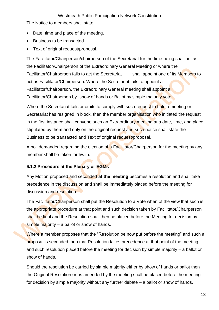The Notice to members shall state:

- Date, time and place of the meeting.
- Business to be transacted.
- Text of original request/proposal.

The Facilitator/Chairperson/chairperson of the Secretariat for the time being shall act as the Facilitator/Chairperson of the Extraordinary General Meeting or where the Facilitator/Chairperson fails to act the Secretariat shall appoint one of its Members to act as Facilitator/Chairperson. Where the Secretariat fails to appoint a Facilitator/Chairperson, the Extraordinary General meeting shall appoint a Facilitator/Chairperson by show of hands or Ballot by simple majority vote.

Where the Secretariat fails or omits to comply with such request to hold a meeting or Secretariat has resigned in block, then the member organisation who initiated the request in the first instance shall convene such an Extraordinary meeting at a date, time, and place stipulated by them and only on the original request and such notice shall state the Business to be transacted and Text of original request/proposal.

A poll demanded regarding the election of a Facilitator/Chairperson for the meeting by any member shall be taken forthwith.

#### <span id="page-13-0"></span>**6.1.2 Procedure at the Plenary or EGMs**

Any Motion proposed and seconded **at the meeting** becomes a resolution and shall take precedence in the discussion and shall be immediately placed before the meeting for discussion and resolution.

The Facilitator/Chairperson shall put the Resolution to a Vote when of the view that such is the appropriate procedure at that point and such decision taken by Facilitator/Chairperson shall be final and the Resolution shall then be placed before the Meeting for decision by simple majority  $-$  a ballot or show of hands.

Where a member proposes that the "Resolution be now put before the meeting" and such a proposal is seconded then that Resolution takes precedence at that point of the meeting and such resolution placed before the meeting for decision by simple majority – a ballot or show of hands.

Should the resolution be carried by simple majority either by show of hands or ballot then the Original Resolution or as amended by the meeting shall be placed before the meeting for decision by simple majority without any further debate – a ballot or show of hands.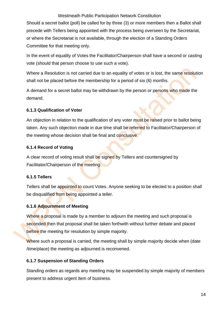Should a secret ballot (poll) be called for by three (3) or more members then a Ballot shall precede with Tellers being appointed with the process being overseen by the Secretariat, or where the Secretariat is not available, through the election of a Standing Orders Committee for that meeting only.

In the event of equality of Votes the Facilitator/Chairperson shall have a second or casting vote (should that person choose to use such a vote).

Where a Resolution is not carried due to an equality of votes or is lost, the same resolution shall not be placed before the membership for a period of six (6) months.

A demand for a secret ballot may be withdrawn by the person or persons who made the demand.

#### <span id="page-14-0"></span>**6.1.3 Qualification of Voter**

An objection in relation to the qualification of any voter must be raised prior to ballot being taken. Any such objection made in due time shall be referred to Facilitator/Chairperson of the meeting whose decision shall be final and conclusive.

## <span id="page-14-1"></span>**6.1.4 Record of Voting**

A clear record of voting result shall be signed by Tellers and countersigned by Facilitator/Chairperson of the meeting.

# <span id="page-14-2"></span>**6.1.5 Tellers**

Tellers shall be appointed to count Votes. Anyone seeking to be elected to a position shall be disqualified from being appointed a teller.

# <span id="page-14-3"></span>**6.1.6 Adjournment of Meeting**

Where a proposal is made by a member to adjourn the meeting and such proposal is seconded then that proposal shall be taken forthwith without further debate and placed before the meeting for resolution by simple majority.

Where such a proposal is carried, the meeting shall by simple majority decide when (date /time/place) the meeting as adjourned is reconvened.

# <span id="page-14-4"></span>**6.1.7 Suspension of Standing Orders**

Standing orders as regards any meeting may be suspended by simple majority of members present to address urgent item of business.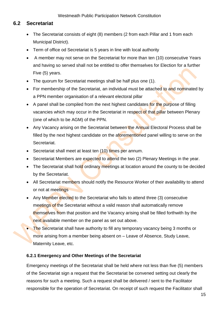# <span id="page-15-0"></span>**6.2 Secretariat**

- The Secretariat consists of eight (8) members (2 from each Pillar and 1 from each Municipal District).
- Term of office od Secretariat is 5 years in line with local authority
- A member may not serve on the Secretariat for more than ten (10) consecutive Years and having so served shall not be entitled to offer themselves for Election for a further Five (5) years.
- The quorum for Secretariat meetings shall be half plus one (1).
- For membership of the Secretariat, an individual must be attached to and nominated by a PPN member organisation of a relevant electoral pillar
- A panel shall be compiled from the next highest candidates for the purpose of filling vacancies which may occur in the Secretariat in respect of that pillar between Plenary (one of which to be AGM) of the PPN.
- Any Vacancy arising on the Secretariat between the Annual Electoral Process shall be filled by the next highest candidate on the aforementioned panel willing to serve on the Secretariat.
- Secretariat shall meet at least ten (10) times per annum.
- Secretariat Members are expected to attend the two (2) Plenary Meetings in the year.
- The Secretariat shall hold ordinary meetings at location around the county to be decided by the Secretariat.
- All Secretariat members should notify the Resource Worker of their availability to attend or not at meetings
- Any Member elected to the Secretariat who fails to attend three (3) consecutive meetings of the Secretariat without a valid reason shall automatically remove themselves from that position and the Vacancy arising shall be filled forthwith by the next available member on the panel as set out above.
- The Secretariat shall have authority to fill any temporary vacancy being 3 months or more arising from a member being absent on – Leave of Absence, Study Leave, Maternity Leave, etc.

# <span id="page-15-1"></span>**6.2.1 Emergency and Other Meetings of the Secretariat**

Emergency meetings of the Secretariat shall be held where not less than five (5) members of the Secretariat sign a request that the Secretariat be convened setting out clearly the reasons for such a meeting. Such a request shall be delivered / sent to the Facilitator responsible for the operation of Secretariat. On receipt of such request the Facilitator shall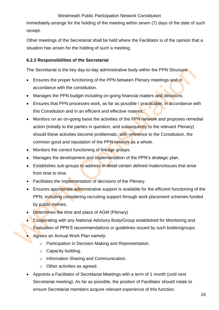immediately arrange for the holding of the meeting within seven (7) days of the date of such receipt.

Other meetings of the Secretariat shall be held where the Facilitator is of the opinion that a situation has arisen for the holding of such a meeting.

#### <span id="page-16-0"></span>**6.2.2 Responsibilities of the Secretariat**

The Secretariat is the key day-to-day administrative body within the PPN Structure:

- Ensures the proper functioning of the PPN between Plenary meetings and in accordance with the constitution.
- Manages the PPN budget including on-going financial matters and decisions.
- Ensures that PPN processes work, as far as possible / practicable, in accordance with this Constitution and in an efficient and effective manner.
- Monitors on an on-going basis the activities of the PPN network and proposes remedial action (initially to the parties in question, and subsequently to the relevant Plenary) should these activities become problematic, with reference to the Constitution, the common good and reputation of the PPN network as a whole.
- Monitors the correct functioning of linkage groups.
- Manages the development and implementation of the PPN's strategic plan.
- Establishes sub-groups to address in detail certain defined matters/issues that arise from time to time.
- Facilitates the implementation of decisions of the Plenary.
- Ensures appropriate administrative support is available for the efficient functioning of the PPN, including considering recruiting support through work placement schemes funded by public monies.
- Determines the time and place of AGM (Plenary)
- Cooperating with any National Advisory Body/Group established for Monitoring and Evaluation of PPN'S recommendations or guidelines issued by such bodies/groups.
- Agrees an Annual Work Plan namely:
	- o Participation in Decision Making and Representation.
	- o Capacity building.
	- o Information Sharing and Communication.
	- o Other activities as agreed.
- Appoints a Facilitator of Secretariat Meetings with a term of 1 month (until next Secretariat meeting). As far as possible, the position of Facilitator should rotate to ensure Secretariat members acquire relevant experience of this function.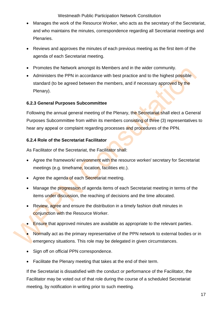- Manages the work of the Resource Worker, who acts as the secretary of the Secretariat, and who maintains the minutes, correspondence regarding all Secretariat meetings and Plenaries.
- Reviews and approves the minutes of each previous meeting as the first item of the agenda of each Secretariat meeting.
- Promotes the Network amongst its Members and in the wider community.
- Administers the PPN in accordance with best practice and to the highest possible standard (to be agreed between the members, and if necessary approved by the Plenary).

#### <span id="page-17-0"></span>**6.2.3 General Purposes Subcommittee**

Following the annual general meeting of the Plenary, the Secretariat shall elect a General Purposes Subcommittee from within its members consisting of three (3) representatives to hear any appeal or complaint regarding processes and procedures of the PPN.

#### <span id="page-17-1"></span>**6.2.4 Role of the Secretariat Facilitator**

As Facilitator of the Secretariat, the Facilitator shall:

- Agree the framework/ environment with the resource worker/ secretary for Secretariat meetings (e.g. timeframe, location, facilities etc.).
- Agree the agenda of each Secretariat meeting.
- Manage the progression of agenda items of each Secretariat meeting in terms of the items under discussion, the reaching of decisions and the time allocated.
- Review, agree and ensure the distribution in a timely fashion draft minutes in conjunction with the Resource Worker.
- Ensure that approved minutes are available as appropriate to the relevant parties.
- Normally act as the primary representative of the PPN network to external bodies or in emergency situations. This role may be delegated in given circumstances.
- Sign off on official PPN correspondence.
- Facilitate the Plenary meeting that takes at the end of their term.

If the Secretariat is dissatisfied with the conduct or performance of the Facilitator, the Facilitator may be voted out of that role during the course of a scheduled Secretariat meeting, by notification in writing prior to such meeting.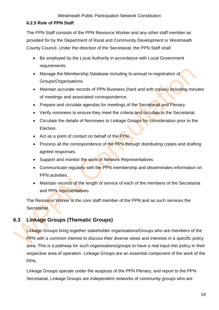### <span id="page-18-0"></span>**6.2.5 Role of PPN Staff**

The PPN Staff consists of the PPN Resource Worker and any other staff member as provided for by the Department of Rural and Community Development or Westmeath County Council. Under the direction of the Secretariat, the PPN Staff shall:

- Be employed by the Local Authority in accordance with Local Government requirements.
- Manage the Membership Database including bi-annual re-registration of Groups/Organisations.
- Maintain accurate records of PPN Business (hard and soft copies) including minutes of meetings and associated correspondence.
- Prepare and circulate agendas for meetings of the Secretariat and Plenary.
- Verify nominees to ensure they meet the criteria and circulate to the Secretariat.
- Circulate the details of Nominees to Linkage Groups for consideration prior to the Election.
- Act as a point of contact on behalf of the PPN.
- Process all the correspondence of the PPN through distributing copies and drafting agreed responses.
- Support and monitor the work of Network Representatives.
- Communicate regularly with the PPN membership and disseminates information on PPN activities.
- Maintain records of the length of service of each of the members of the Secretariat and PPN representatives

The Resource Worker is the core staff member of the PPN and as such services the Secretariat.

# <span id="page-18-1"></span>**6.3 Linkage Groups (Thematic Groups)**

Linkage Groups bring together stakeholder organisations/Groups who are members of the PPN with a common interest to discuss their diverse views and interests in a specific policy area. This is a pathway for such organisations/groups to have a real input into policy in their respective area of operation. Linkage Groups are an essential component of the work of the PPN.

Linkage Groups operate under the auspices of the PPN Plenary, and report to the PPN Secretariat, Linkage Groups are independent networks of community groups who are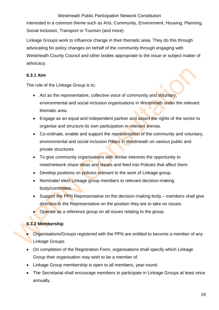interested in a common theme such as Arts, Community, Environment, Housing, Planning, Social Inclusion, Transport or Tourism (and more).

Linkage Groups work to influence change in their thematic area. They do this through advocating for policy changes on behalf of the community through engaging with Westmeath County Council and other bodies appropriate to the issue or subject matter of advocacy.

## <span id="page-19-0"></span>**6.3.1 Aim**

The role of the Linkage Group is to:

- Act as the representative, collective voice of community and voluntary, environmental and social inclusion organisations in Westmeath under the relevant thematic area.
- Engage as an equal and independent partner and assert the rights of the sector to organise and structure its own participation in relevant arenas.
- Co-ordinate, enable and support the representation of the community and voluntary, environmental and social inclusion Pillars in Westmeath on various public and private structures.
- To give community organisations with similar interests the opportunity to meet/network share ideas and issues and feed into Policies that affect them.
- Develop positions on policies relevant to the work of Linkage group.
- Nominate/ elect Linkage group members to relevant decision-making body/committee.
- Support the PPN Representative on the decision-making body members shall give direction to the Representative on the position they are to take on issues.
- Operate as a reference group on all issues relating to the group.

# <span id="page-19-1"></span>**6.3.2 Membership**

- Organisations/Groups registered with the PPN are entitled to become a member of any Linkage Groups.
- On completion of the Registration Form, organisations shall specify which Linkage Group their organisation may wish to be a member of.
- Linkage Group membership is open to all members, year-round.
- The Secretariat shall encourage members to participate in Linkage Groups at least once annually.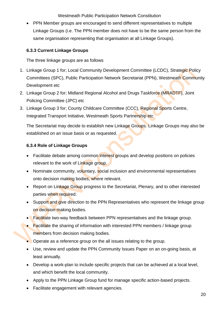• PPN Member groups are encouraged to send different representatives to multiple Linkage Groups (i.e. The PPN member does not have to be the same person from the same organisation representing that organisation at all Linkage Groups).

### <span id="page-20-0"></span>**6.3.3 Current Linkage Groups**

The three linkage groups are as follows

- 1. Linkage Group 1 for; Local Community Development Committee (LCDC), Strategic Policy Committees (SPC), Public Participation Network Secretariat (PPN), Westmeath Community Development etc
- 2. Linkage Group 2 for; Midland Regional Alcohol and Drugs Taskforce (MRADTF), Joint Policing Committee (JPC) etc
- 3. Linkage Group 3 for; County Childcare Committee (CCC), Regional Sports Centre, Integrated Transport Initiative, Westmeath Sports Partnership etc

The Secretariat may decide to establish new Linkage Groups. Linkage Groups may also be established on an issue basis or as requested.

## <span id="page-20-1"></span>**6.3.4 Role of Linkage Groups**

- Facilitate debate among common interest groups and develop positions on policies relevant to the work of Linkage group.
- Nominate community, voluntary, social inclusion and environmental representatives onto decision making bodies, where relevant.
- Report on Linkage Group progress to the Secretariat, Plenary, and to other interested parties when required.
- Support and give direction to the PPN Representatives who represent the linkage group on decision making bodies.
- Facilitate two-way feedback between PPN representatives and the linkage group.
- Facilitate the sharing of information with interested PPN members / linkage group members from decision making bodies.
- Operate as a reference group on the all issues relating to the group.
- Use, review and update the PPN Community Issues Paper on an on-going basis, at least annually.
- Develop a work-plan to include specific projects that can be achieved at a local level. and which benefit the local community.
- Apply to the PPN Linkage Group fund for manage specific action-based projects.
- Facilitate engagement with relevant agencies.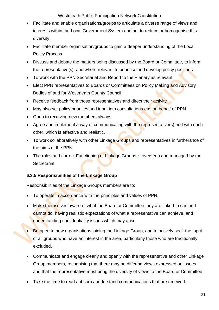- Facilitate and enable organisations/groups to articulate a diverse range of views and interests within the Local Government System and not to reduce or homogenise this diversity
- Facilitate member organisation/groups to gain a deeper understanding of the Local Policy Process
- Discuss and debate the matters being discussed by the Board or Committee, to inform the representative(s), and where relevant to prioritise and develop policy positions
- To work with the PPN Secretariat and Report to the Plenary as relevant.
- Elect PPN representatives to Boards or Committees on Policy Making and Advisory Bodies of and for Westmeath County Council
- Receive feedback from those representatives and direct their activity
- May also set policy priorities and input into consultations etc. on behalf of PPN
- Open to receiving new members always.
- Agree and implement a way of communicating with the representative(s) and with each other, which is effective and realistic.
- To work collaboratively with other Linkage Groups and representatives in furtherance of the aims of the PPN.
- The roles and correct Functioning of Linkage Groups is overseen and managed by the Secretariat.

# <span id="page-21-0"></span>**6.3.5 Responsibilities of the Linkage Group**

Responsibilities of the Linkage Groups members are to:

- To operate in accordance with the principles and values of PPN.
- Make themselves aware of what the Board or Committee they are linked to can and cannot do, having realistic expectations of what a representative can achieve, and understanding confidentiality issues which may arise.
- **Be** open to new organisations joining the Linkage Group, and to actively seek the input of all groups who have an interest in the area, particularly those who are traditionally excluded.
- Communicate and engage clearly and openly with the representative and other Linkage Group members, recognising that there may be differing views expressed on issues, and that the representative must bring the diversity of views to the Board or Committee.
- Take the time to read / absorb / understand communications that are received.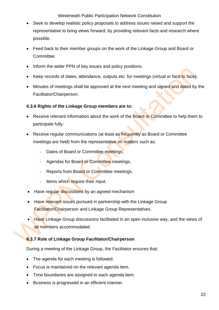- Seek to develop realistic policy proposals to address issues raised and support the representative to bring views forward, by providing relevant facts and research where possible.
- Feed back to their member groups on the work of the Linkage Group and Board or Committee.
- Inform the wider PPN of key issues and policy positions.
- Keep records of dates, attendance, outputs etc. for meetings (virtual or face to face).
- Minutes of meetings shall be approved at the next meeting and signed and dated by the Facilitator/Chairperson.

#### <span id="page-22-0"></span>**6.3.6 Rights of the Linkage Group members are to:**

- Receive relevant information about the work of the Board or Committee to help them to participate fully.
- Receive regular communications (at least as frequently as Board or Committee meetings are held) from the representative on matters such as:
	- Dates of Board or Committee meetings.
	- Agendas for Board or Committee meetings.
	- Reports from Board or Committee meetings.
	- Items which require their input.
- Have regular discussions by an agreed mechanism
- Have relevant issues pursued in partnership with the Linkage Group Facilitator/Chairperson and Linkage Group Representatives.
- Have Linkage Group discussions facilitated in an open inclusive way, and the views of all members accommodated.

#### <span id="page-22-1"></span>**6.3.7 Role of Linkage Group Facilitator/Chairperson**

During a meeting of the Linkage Group, the Facilitator ensures that:

- The agenda for each meeting is followed.
- Focus is maintained on the relevant agenda item.
- Time boundaries are assigned to each agenda item.
- Business is progressed in an efficient manner.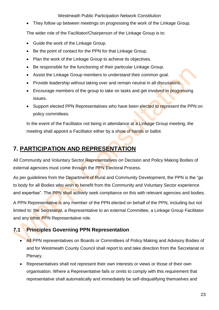• They follow up between meetings on progressing the work of the Linkage Group.

The wider role of the Facilitator/Chairperson of the Linkage Group is to:

- Guide the work of the Linkage Group.
- Be the point of contact for the PPN for that Linkage Group.
- Plan the work of the Linkage Group to achieve its objectives.
- Be responsible for the functioning of their particular Linkage Group.
- Assist the Linkage Group members to understand their common goal.
- Provide leadership without taking over and remain neutral in all discussions.
- Encourage members of the group to take on tasks and get involved in progressing issues.
- Support elected PPN Representatives who have been elected to represent the PPN on policy committees.

In the event of the Facilitator not being in attendance at a Linkage Group meeting, the meeting shall appoint a Facilitator either by a show of hands or ballot.

# <span id="page-23-0"></span>**7. PARTICIPATION AND REPRESENTATION**

All Community and Voluntary Sector Representatives on Decision and Policy Making Bodies of external agencies must come through the PPN Electoral Process.

As per guidelines from the Department of Rural and Community Development, the PPN is the "go to body for all Bodies who wish to benefit from the Community and Voluntary Sector experience and expertise". The PPN shall actively seek compliance on this with relevant agencies and bodies.

A PPN Representative is any member of the PPN elected on behalf of the PPN, including but not limited to: the Secretariat, a Representative to an external Committee, a Linkage Group Facilitator and any other PPN Representative role.

# <span id="page-23-1"></span>**7.1 Principles Governing PPN Representation**

- **All PPN representatives on Boards or Committees of Policy Making and Advisory Bodies of** and for Westmeath County Council shall report to and take direction from the Secretariat or Plenary.
- Representatives shall not represent their own interests or views or those of their own organisation. Where a Representative fails or omits to comply with this requirement that representative shall automatically and immediately be self-disqualifying themselves and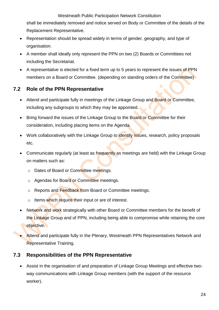shall be immediately removed and notice served on Body or Committee of the details of the Replacement Representative.

- Representation should be spread widely in terms of gender, geography, and type of organisation.
- A member shall ideally only represent the PPN on two (2) Boards or Committees not including the Secretariat.
- A representative is elected for a fixed term up to 5 years to represent the issues of PPN members on a Board or Committee. (depending on standing orders of the Committee)

# <span id="page-24-0"></span>**7.2 Role of the PPN Representative**

- Attend and participate fully in meetings of the Linkage Group and Board or Committee, including any subgroups to which they may be appointed.
- Bring forward the issues of the Linkage Group to the Board or Committee for their consideration, including placing items on the Agenda.
- Work collaboratively with the Linkage Group to identify issues, research, policy proposals etc.
- Communicate regularly (at least as frequently as meetings are held) with the Linkage Group on matters such as:
	- o Dates of Board or Committee meetings.
	- o Agendas for Board or Committee meetings.
	- o Reports and Feedback from Board or Committee meetings.
	- $\circ$  Items which require their input or are of interest.
- Network and work strategically with other Board or Committee members for the benefit of the Linkage Group and of PPN, including being able to compromise while retaining the core objective.
- Attend and participate fully in the Plenary, Westmeath PPN Representatives Network and Representative Training.

# <span id="page-24-1"></span>**7.3 Responsibilities of the PPN Representative**

• Assist in the organisation of and preparation of Linkage Group Meetings and effective twoway communications with Linkage Group members (with the support of the resource worker).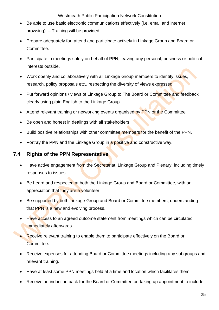- Be able to use basic electronic communications effectively (i.e. email and internet browsing). – Training will be provided.
- Prepare adequately for, attend and participate actively in Linkage Group and Board or Committee.
- Participate in meetings solely on behalf of PPN, leaving any personal, business or political interests outside.
- Work openly and collaboratively with all Linkage Group members to identify issues, research, policy proposals etc., respecting the diversity of views expressed.
- Put forward opinions / views of Linkage Group to The Board or Committee and feedback clearly using plain English to the Linkage Group.
- Attend relevant training or networking events organised by PPN or the Committee.
- Be open and honest in dealings with all stakeholders.
- Build positive relationships with other committee members for the benefit of the PPN.
- Portray the PPN and the Linkage Group in a positive and constructive way.

# <span id="page-25-0"></span>**7.4 Rights of the PPN Representative**

- Have active engagement from the Secretariat, Linkage Group and Plenary, including timely responses to issues.
- Be heard and respected at both the Linkage Group and Board or Committee, with an appreciation that they are a volunteer.
- Be supported by both Linkage Group and Board or Committee members, understanding that PPN is a new and evolving process.
- Have access to an agreed outcome statement from meetings which can be circulated immediately afterwards.
- Receive relevant training to enable them to participate effectively on the Board or Committee.
- Receive expenses for attending Board or Committee meetings including any subgroups and relevant training.
- Have at least some PPN meetings held at a time and location which facilitates them.
- Receive an induction pack for the Board or Committee on taking up appointment to include: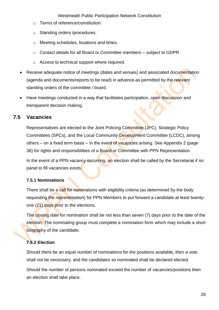- o Terms of reference/constitution.
- o Standing orders /procedures.
- o Meeting schedules, locations and times.
- o Contact details for all Board or Committee members subject to GDPR
- o Access to technical support where required.
- Receive adequate notice of meetings (dates and venues) and associated documentation (agenda and documents/reports to be read) in advance as permitted by the relevant standing orders of the committee / board.
- Have meetings conducted in a way that facilitates participation, open discussion and transparent decision making.

# <span id="page-26-0"></span>**7.5 Vacancies**

Representatives are elected to the Joint Policing Committee (JPC), Strategic Policy Committees (SPCs), and the Local Community Development Committee (LCDC), among others – on a fixed term basis – in the event of vacancies arising. See Appendix 2 (page 36) for rights and responsibilities of a Board or Committee with PPN Representation.

In the event of a PPN vacancy occurring, an election shall be called by the Secretariat if no panel to fill vacancies exists.

#### <span id="page-26-1"></span>**7.5.1 Nominations**

There shall be a call for nominations with eligibility criteria (as determined by the body requesting the representation) for PPN Members to put forward a candidate at least twentyone (21) days prior to the elections.

The closing date for nomination shall be not less than seven (7) days prior to the date of the election. The nominating group must complete a nomination form which may include a short biography of the candidate.

# <span id="page-26-2"></span>**7.5.2 Election**

Should there be an equal number of nominations for the positions available, then a vote shall not be necessary, and the candidates so nominated shall be declared elected.

Should the number of persons nominated exceed the number of vacancies/positions then an election shall take place.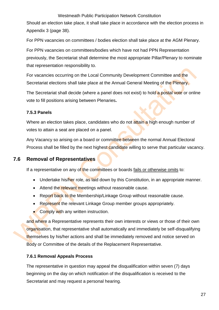Should an election take place, it shall take place in accordance with the election process in Appendix 3 (page 38).

For PPN vacancies on committees / bodies election shall take place at the AGM Plenary.

For PPN vacancies on committees/bodies which have not had PPN Representation previously, the Secretariat shall determine the most appropriate Pillar/Plenary to nominate that representation responsibility to.

For vacancies occurring on the Local Community Development Committee and the Secretariat elections shall take place at the Annual General Meeting of the Plenary.

The Secretariat shall decide (where a panel does not exist) to hold a postal vote or online vote to fill positions arising between Plenaries**.**

#### <span id="page-27-0"></span>**7.5.3 Panels**

Where an election takes place, candidates who do not attain a high enough number of votes to attain a seat are placed on a panel.

Any Vacancy so arising on a board or committee between the normal Annual Electoral Process shall be filled by the next highest candidate willing to serve that particular vacancy.

# <span id="page-27-1"></span>**7.6 Removal of Representatives**

If a representative on any of the committees or boards fails or otherwise omits to:

- Undertake his/her role, as laid down by this Constitution, in an appropriate manner.
- Attend the relevant meetings without reasonable cause.
- Report back to the Membership/Linkage Group without reasonable cause.
- Represent the relevant Linkage Group member groups appropriately.
- Comply with any written instruction.

and where a Representative represents their own interests or views or those of their own organisation, that representative shall automatically and immediately be self-disqualifying themselves by his/her actions and shall be immediately removed and notice served on Body or Committee of the details of the Replacement Representative.

#### <span id="page-27-2"></span>**7.6.1 Removal Appeals Process**

The representative in question may appeal the disqualification within seven (7) days beginning on the day on which notification of the disqualification is received to the Secretariat and may request a personal hearing.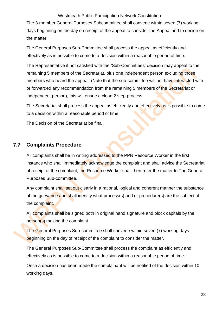The 3-member General Purposes Subcommittee shall convene within seven (7) working days beginning on the day on receipt of the appeal to consider the Appeal and to decide on the matter.

The General Purposes Sub-Committee shall process the appeal as efficiently and effectively as is possible to come to a decision within a reasonable period of time.

The Representative if not satisfied with the 'Sub-Committees' decision may appeal to the remaining 5 members of the Secretariat, plus one independent person excluding those members who heard the appeal. (Note that the sub-committee will not have interacted with or forwarded any recommendation from the remaining 5 members of the Secretariat or independent person), this will ensue a clean 2 step process.

The Secretariat shall process the appeal as efficiently and effectively as is possible to come to a decision within a reasonable period of time.

The Decision of the Secretariat be final.

## <span id="page-28-0"></span>**7.7 Complaints Procedure**

All complaints shall be in writing addressed to the PPN Resource Worker in the first instance who shall immediately acknowledge the complaint and shall advice the Secretariat of receipt of the complaint; the Resource Worker shall then refer the matter to The General Purposes Sub-committee.

Any complaint shall set out clearly in a rational, logical and coherent manner the substance of the grievance and shall identify what process(s) and or procedure(s) are the subject of the complaint.

All complaints shall be signed both in original hand signature and block capitals by the person(s) making the complaint.

The General Purposes Sub-committee shall convene within seven (7) working days beginning on the day of receipt of the complaint to consider the matter.

The General Purposes Sub-Committee shall process the complaint as efficiently and effectively as is possible to come to a decision within a reasonable period of time.

Once a decision has been made the complainant will be notified of the decision within 10 working days.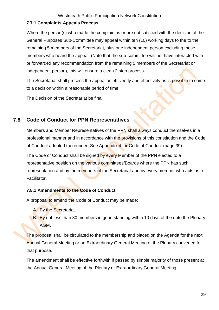### <span id="page-29-0"></span>**7.7.1 Complaints Appeals Process**

Where the person(s) who made the complaint is or are not satisfied with the decision of the General Purposes Sub-Committee may appeal within ten (10) working days to the to the remaining 5 members of the Secretariat, plus one independent person excluding those members who heard the appeal. (Note that the sub-committee will not have interacted with or forwarded any recommendation from the remaining 5 members of the Secretariat or independent person), this will ensure a clean 2 step process.

The Secretariat shall process the appeal as efficiently and effectively as is **possible** to come to a decision within a reasonable period of time.

The Decision of the Secretariat be final.

# <span id="page-29-1"></span>**7.8 Code of Conduct for PPN Representatives**

Members and Member Representatives of the PPN shall always conduct themselves in a professional manner and in accordance with the provisions of this constitution and the Code of Conduct adopted thereunder. See Appendix 4 for Code of Conduct (page 39).

The Code of Conduct shall be signed by every Member of the PPN elected to a representative position on the various committees/Boards where the PPN has such representation and by the members of the Secretariat and by every member who acts as a Facilitator.

#### <span id="page-29-2"></span>**7.8.1 Amendments to the Code of Conduct**

A proposal to amend the Code of Conduct may be made:

- A. By the Secretariat.
- B. By not less than 30 members in good standing within 10 days of the date the Plenary AGM.

The proposal shall be circulated to the membership and placed on the Agenda for the next Annual General Meeting or an Extraordinary General Meeting of the Plenary convened for that purpose.

The amendment shall be effective forthwith if passed by simple majority of those present at the Annual General Meeting of the Plenary or Extraordinary General Meeting.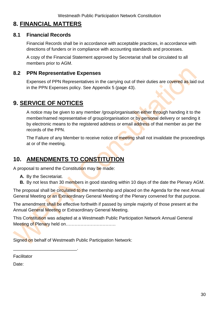# <span id="page-30-0"></span>**8. FINANCIAL MATTERS**

# <span id="page-30-1"></span>**8.1 Financial Records**

Financial Records shall be in accordance with acceptable practices, in accordance with directions of funders or in compliance with accounting standards and processes.

A copy of the Financial Statement approved by Secretariat shall be circulated to all members prior to AGM.

## <span id="page-30-2"></span>**8.2 PPN Representative Expenses**

Expenses of PPN Representatives in the carrying out of their duties are covered as laid out in the PPN Expenses policy. See Appendix 5 (page 43).

# <span id="page-30-3"></span>**9. SERVICE OF NOTICES**

A notice may be given to any member /group/organisation either through handing it to the member/named representative of group/organisation or by personal delivery or sending it by electronic means to the registered address or email address of that member as per the records of the PPN.

The Failure of any Member to receive notice of meeting shall not invalidate the proceedings at or of the meeting.

# <span id="page-30-4"></span>**10. AMENDMENTS TO CONSTITUTION**

A proposal to amend the Constitution may be made:

**A.** By the Secretariat.

\_\_\_\_\_\_\_\_\_\_\_\_\_\_\_\_\_\_\_\_\_\_\_\_\_\_.

**B.** By not less than 30 members in good standing within 10 days of the date the Plenary AGM.

The proposal shall be circulated to the membership and placed on the Agenda for the next Annual General Meeting or an Extraordinary General Meeting of the Plenary convened for that purpose.

The amendment shall be effective forthwith if passed by simple majority of those present at the Annual General Meeting or Extraordinary General Meeting.

This Constitution was adapted at a Westmeath Public Participation Network Annual General Meeting of Plenary held on…………………………….

Signed on behalf of Westmeath Public Participation Network:

Facilitator

Date: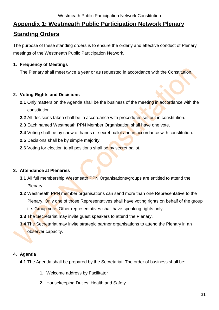# <span id="page-31-0"></span>**Appendix 1: Westmeath Public Participation Network Plenary Standing Orders**

The purpose of these standing orders is to ensure the orderly and effective conduct of Plenary meetings of the Westmeath Public Participation Network.

### **1. Frequency of Meetings**

The Plenary shall meet twice a year or as requested in accordance with the Constitution.

## **2. Voting Rights and Decisions**

- **2.1** Only matters on the Agenda shall be the business of the meeting in accordance with the constitution.
- **2.2** All decisions taken shall be in accordance with procedures set out in constitution.
- **2.3** Each named Westmeath PPN Member Organisation shall have one vote.
- **2.4** Voting shall be by show of hands or secret ballot and in accordance with constitution.
- **2.5** Decisions shall be by simple majority.
- **2.6** Voting for election to all positions shall be by secret ballot.

# **3. Attendance at Plenaries**

- **3.1** All full membership Westmeath PPN Organisations/groups are entitled to attend the Plenary.
- **3.2** Westmeath PPN member organisations can send more than one Representative to the Plenary. Only one of those Representatives shall have voting rights on behalf of the group i.e. Group vote. Other representatives shall have speaking rights only.
- **3.3** The Secretariat may invite guest speakers to attend the Plenary.
- **3.4** The Secretariat may invite strategic partner organisations to attend the Plenary in an observer capacity.

# **4. Agenda**

**4.1** The Agenda shall be prepared by the Secretariat. The order of business shall be:

- **1.** Welcome address by Facilitator
- **2.** Housekeeping Duties, Health and Safety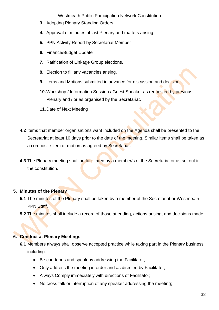- **3.** Adopting Plenary Standing Orders
- **4.** Approval of minutes of last Plenary and matters arising
- **5.** PPN Activity Report by Secretariat Member
- **6.** Finance/Budget Update
- **7.** Ratification of Linkage Group elections.
- **8.** Election to fill any vacancies arising.
- **9.** Items and Motions submitted in advance for discussion and decision.
- **10.**Workshop / Information Session / Guest Speaker as requested by previous Plenary and / or as organised by the Secretariat.
- **11.**Date of Next Meeting
- **4.2** Items that member organisations want included on the Agenda shall be presented to the Secretariat at least 10 days prior to the date of the meeting. Similar items shall be taken as a composite item or motion as agreed by Secretariat.
- **4.3** The Plenary meeting shall be facilitated by a member/s of the Secretariat or as set out in the constitution.

#### **5. Minutes of the Plenary**

- **5.1** The minutes of the Plenary shall be taken by a member of the Secretariat or Westmeath PPN Staff.
- **5.2** The minutes shall include a record of those attending, actions arising, and decisions made.

#### **6. Conduct at Plenary Meetings**

- **6.1** Members always shall observe accepted practice while taking part in the Plenary business, including:
	- Be courteous and speak by addressing the Facilitator;
	- Only address the meeting in order and as directed by Facilitator;
	- Always Comply immediately with directions of Facilitator;
	- No cross talk or interruption of any speaker addressing the meeting;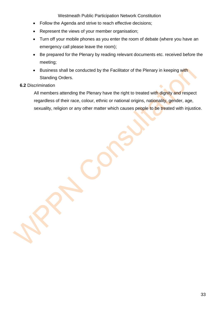- Follow the Agenda and strive to reach effective decisions;
- Represent the views of your member organisation;
- Turn off your mobile phones as you enter the room of debate (where you have an emergency call please leave the room);
- Be prepared for the Plenary by reading relevant documents etc. received before the meeting;
- Business shall be conducted by the Facilitator of the Plenary in keeping with Standing Orders.
- **6.2** Discrimination

All members attending the Plenary have the right to treated with dignity and respect regardless of their race, colour, ethnic or national origins, nationality, gender, age, sexuality, religion or any other matter which causes people to be treated with injustice.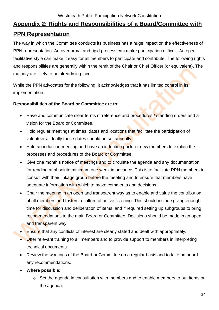# <span id="page-34-0"></span>**Appendix 2: Rights and Responsibilities of a Board/Committee with PPN Representation**

The way in which the Committee conducts its business has a huge impact on the effectiveness of PPN representation. An overformal and rigid process can make participation difficult. An open facilitative style can make it easy for all members to participate and contribute. The following rights and responsibilities are generally within the remit of the Chair or Chief Officer (or equivalent). The majority are likely to be already in place.

While the PPN advocates for the following, it acknowledges that it has limited control in its implementation.

#### **Responsibilities of the Board or Committee are to:**

- Have and communicate clear terms of reference and procedures / standing orders and a vision for the Board or Committee.
- Hold regular meetings at times, dates and locations that facilitate the participation of volunteers. Ideally these dates should be set annually.
- Hold an induction meeting and have an induction pack for new members to explain the processes and procedures of the Board or Committee.
- Give one month's notice of meetings and to circulate the agenda and any documentation for reading at absolute minimum one week in advance. This is to facilitate PPN members to consult with their linkage group before the meeting and to ensure that members have adequate information with which to make comments and decisions.
- Chair the meeting in an open and transparent way as to enable and value the contribution of all members and fosters a culture of active listening. This should include giving enough time for discussion and deliberation of items, and if required setting up subgroups to bring recommendations to the main Board or Committee. Decisions should be made in an open and transparent way.
- Ensure that any conflicts of interest are clearly stated and dealt with appropriately.
- Offer relevant training to all members and to provide support to members in interpreting technical documents.
- Review the workings of the Board or Committee on a regular basis and to take on board any recommendations.
- **Where possible:**
	- o Set the agenda in consultation with members and to enable members to put items on the agenda.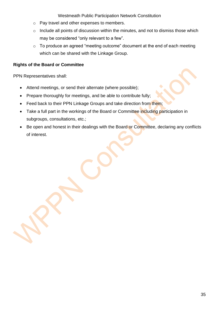- o Pay travel and other expenses to members.
- o Include all points of discussion within the minutes, and not to dismiss those which may be considered "only relevant to a few".
- o To produce an agreed "meeting outcome" document at the end of each meeting which can be shared with the Linkage Group.

### **Rights of the Board or Committee**

PPN Representatives shall:

- Attend meetings, or send their alternate (where possible);
- Prepare thoroughly for meetings, and be able to contribute fully;
- Feed back to their PPN Linkage Groups and take direction from them;
- Take a full part in the workings of the Board or Committee including participation in subgroups, consultations, etc.;
- Be open and honest in their dealings with the Board or Committee, declaring any conflicts of interest.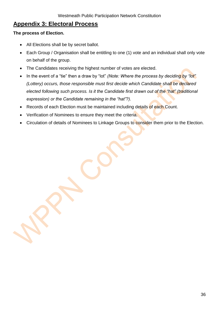# <span id="page-36-0"></span>**Appendix 3: Electoral Process**

#### **The process of Election.**

- All Elections shall be by secret ballot.
- Each Group / Organisation shall be entitling to one (1) vote and an individual shall only vote on behalf of the group.
- The Candidates receiving the highest number of votes are elected.
- In the event of a "tie" then a draw by "lot" *(Note: Where the process by deciding by "lot" (Lottery) occurs, those responsible must first decide which Candidate shall be declared elected following such process. Is it the Candidate first drawn out of the "hat" (traditional expression) or the Candidate remaining in the "hat"?).*
- Records of each Election must be maintained including details of each Count.
- Verification of Nominees to ensure they meet the criteria.
- Circulation of details of Nominees to Linkage Groups to consider them prior to the Election.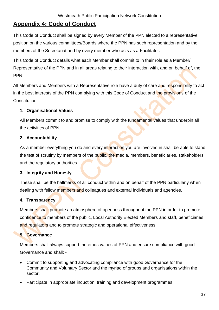# <span id="page-37-0"></span>**Appendix 4: Code of Conduct**

This Code of Conduct shall be signed by every Member of the PPN elected to a representative position on the various committees/Boards where the PPN has such representation and by the members of the Secretariat and by every member who acts as a Facilitator.

This Code of Conduct details what each Member shall commit to in their role as a Member/ Representative of the PPN and in all areas relating to their interaction with, and on behalf of, the PPN.

All Members and Members with a Representative role have a duty of care and responsibility to act in the best interests of the PPN complying with this Code of Conduct and the provisions of the Constitution.

#### **1. Organisational Values**

All Members commit to and promise to comply with the fundamental values that underpin all the activities of PPN.

## **2. Accountability**

As a member everything you do and every interaction you are involved in shall be able to stand the test of scrutiny by members of the public, the media, members, beneficiaries, stakeholders and the regulatory authorities.

#### **3. Integrity and Honesty**

These shall be the hallmarks of all conduct within and on behalf of the PPN particularly when dealing with fellow members and colleagues and external individuals and agencies.

# **4. Transparency**

Members shall promote an atmosphere of openness throughout the PPN in order to promote confidence to members of the public, Local Authority Elected Members and staff, beneficiaries and regulators and to promote strategic and operational effectiveness.

# **5. Governance**

Members shall always support the ethos values of PPN and ensure compliance with good Governance and shall: -

- Commit to supporting and advocating compliance with good Governance for the Community and Voluntary Sector and the myriad of groups and organisations within the sector;
- Participate in appropriate induction, training and development programmes;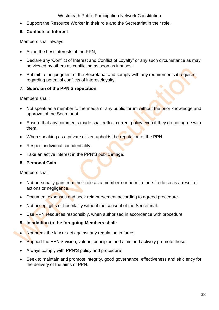• Support the Resource Worker in their role and the Secretariat in their role.

#### **6. Conflicts of Interest**

Members shall always:

- Act in the best interests of the PPN;
- Declare any 'Conflict of Interest and Conflict of Loyalty" or any such circumstance as may be viewed by others as conflicting as soon as it arises;
- Submit to the judgment of the Secretariat and comply with any requirements it requires regarding potential conflicts of interest/loyalty.

## **7. Guardian of the PPN'S reputation**

Members shall:

- Not speak as a member to the media or any public forum without the prior knowledge and approval of the Secretariat.
- Ensure that any comments made shall reflect current policy even if they do not agree with them.
- When speaking as a private citizen upholds the reputation of the PPN.
- Respect individual confidentiality.
- Take an active interest in the PPN'S public image.

#### **8. Personal Gain**

Members shall:

- Not personally gain from their role as a member nor permit others to do so as a result of actions or negligence.
- Document expenses and seek reimbursement according to agreed procedure.
- Not accept gifts or hospitality without the consent of the Secretariat.
- Use PPN resources responsibly, when authorised in accordance with procedure.
- **9. In addition to the foregoing Members shall:**
- Not break the law or act against any regulation in force;
- Support the PPN'S vision, values, principles and aims and actively promote these;
- Always comply with PPN'S policy and procedure;
- Seek to maintain and promote integrity, good governance, effectiveness and efficiency for the delivery of the aims of PPN.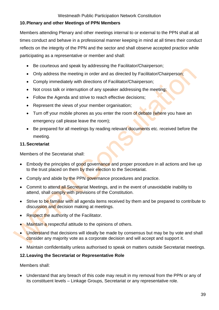## **10.Plenary and other Meetings of PPN Members**

Members attending Plenary and other meetings internal to or external to the PPN shall at all times conduct and behave in a professional manner keeping in mind at all times their conduct reflects on the integrity of the PPN and the sector and shall observe accepted practice while participating as a representative or member and shall:

- Be courteous and speak by addressing the Facilitator/Chairperson;
- Only address the meeting in order and as directed by Facilitator/Chairperson;
- Comply immediately with directions of Facilitator/Chairperson;
- Not cross talk or interruption of any speaker addressing the meeting;
- Follow the Agenda and strive to reach effective decisions;
- Represent the views of your member organisation;
- Turn off your mobile phones as you enter the room of debate (where you have an emergency call please leave the room);
- Be prepared for all meetings by reading relevant documents etc. received before the meeting.

#### **11.Secretariat**

Members of the Secretariat shall:

- Embody the principles of good governance and proper procedure in all actions and live up to the trust placed on them by their election to the Secretariat.
- Comply and abide by the PPN governance procedures and practice.
- Commit to attend all Secretariat Meetings, and in the event of unavoidable inability to attend, shall comply with provisions of the Constitution.
- Strive to be familiar with all agenda items received by them and be prepared to contribute to discussion and decision making at meetings.
- Respect the authority of the Facilitator.
- Maintain a respectful attitude to the opinions of others.
- Understand that decisions will ideally be made by consensus but may be by vote and shall consider any majority vote as a corporate decision and will accept and support it.
- Maintain confidentiality unless authorised to speak on matters outside Secretariat meetings.

# **12.Leaving the Secretariat or Representative Role**

Members shall:

• Understand that any breach of this code may result in my removal from the PPN or any of its constituent levels – Linkage Groups, Secretariat or any representative role.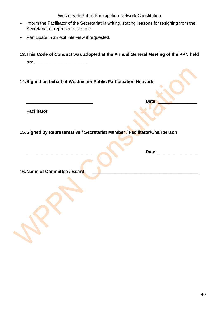- Inform the Facilitator of the Secretariat in writing, stating reasons for resigning from the Secretariat or representative role.
- Participate in an exit interview if requested.
- **13.This Code of Conduct was adopted at the Annual General Meeting of the PPN held on:** \_\_\_\_\_\_\_\_\_\_\_\_\_\_\_\_\_\_\_\_\_.

\_\_\_\_\_\_\_\_\_\_\_\_\_\_\_\_\_\_\_\_\_\_\_\_\_\_\_ **Date:** \_\_\_\_\_\_\_\_\_\_\_\_\_\_\_\_

**14.Signed on behalf of Westmeath Public Participation Network:**

**Facilitator**

**15.Signed by Representative / Secretariat Member / Facilitator/Chairperson:**

**16. Name of Committee / Board:**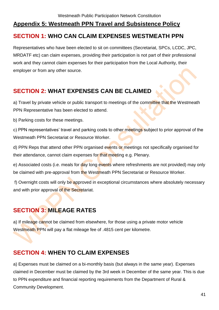# <span id="page-41-0"></span>**Appendix 5: Westmeath PPN Travel and Subsistence Policy SECTION 1: WHO CAN CLAIM EXPENSES WESTMEATH PPN**

Representatives who have been elected to sit on committees (Secretariat, SPCs, LCDC, JPC, MRDATF etc) can claim expenses, providing their participation is not part of their professional work and they cannot claim expenses for their participation from the Local Authority, their employer or from any other source.

# **SECTION 2: WHAT EXPENSES CAN BE CLAIMED**

a) Travel by private vehicle or public transport to meetings of the committee that the Westmeath PPN Representative has been elected to attend.

b) Parking costs for these meetings.

c) PPN representatives' travel and parking costs to other meetings subject to prior approval of the Westmeath PPN Secretariat or Resource Worker.

d) PPN Reps that attend other PPN organised events or meetings not specifically organised for their attendance, cannot claim expenses for that meeting e.g. Plenary.

e) Associated costs (i.e. meals for day long events where refreshments are not provided) may only be claimed with pre-approval from the Westmeath PPN Secretariat or Resource Worker.

f) Overnight costs will only be approved in exceptional circumstances where absolutely necessary and with prior approval of the Secretariat.

# **SECTION 3: MILEAGE RATES**

a) If mileage cannot be claimed from elsewhere, for those using a private motor vehicle Westmeath PPN will pay a flat mileage fee of .4815 cent per kilometre.

# **SECTION 4: WHEN TO CLAIM EXPENSES**

a) Expenses must be claimed on a bi-monthly basis (but always in the same year). Expenses claimed in December must be claimed by the 3rd week in December of the same year. This is due to PPN expenditure and financial reporting requirements from the Department of Rural & Community Development.